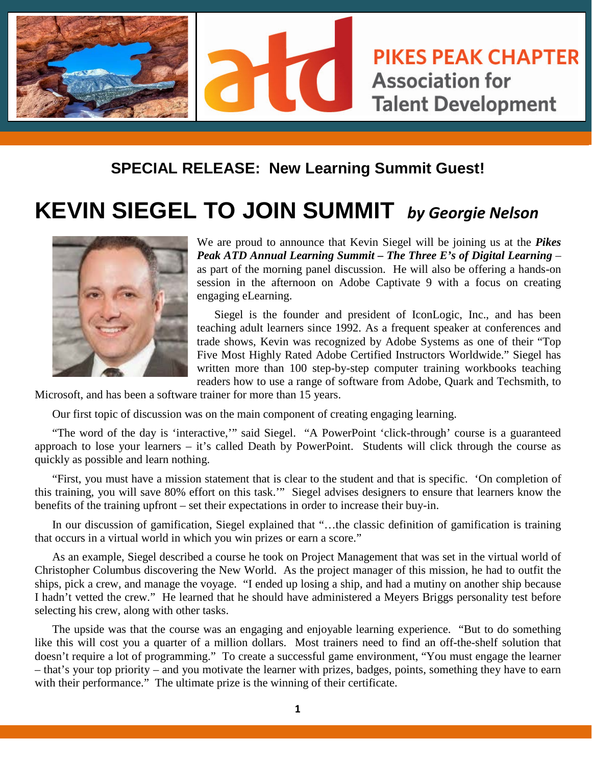

## **SPECIAL RELEASE: New Learning Summit Guest!**

## **KEVIN SIEGEL TO JOIN SUMMIT** *by Georgie Nelson*



We are proud to announce that Kevin Siegel will be joining us at the *Pikes Peak ATD Annual Learning Summit – The Three E's of Digital Learning* – as part of the morning panel discussion. He will also be offering a hands-on session in the afternoon on Adobe Captivate 9 with a focus on creating engaging eLearning.

Siegel is the founder and president of IconLogic, Inc., and has been teaching adult learners since 1992. As a frequent speaker at conferences and trade shows, Kevin was recognized by Adobe Systems as one of their "Top Five Most Highly Rated Adobe Certified Instructors Worldwide." Siegel has written more than 100 step-by-step computer training workbooks teaching readers how to use a range of software from Adobe, Quark and Techsmith, to

Microsoft, and has been a software trainer for more than 15 years.

Our first topic of discussion was on the main component of creating engaging learning.

"The word of the day is 'interactive,'" said Siegel. "A PowerPoint 'click-through' course is a guaranteed approach to lose your learners – it's called Death by PowerPoint. Students will click through the course as quickly as possible and learn nothing.

"First, you must have a mission statement that is clear to the student and that is specific. 'On completion of this training, you will save 80% effort on this task.'" Siegel advises designers to ensure that learners know the benefits of the training upfront – set their expectations in order to increase their buy-in.

In our discussion of gamification, Siegel explained that "...the classic definition of gamification is training that occurs in a virtual world in which you win prizes or earn a score."

As an example, Siegel described a course he took on Project Management that was set in the virtual world of Christopher Columbus discovering the New World. As the project manager of this mission, he had to outfit the ships, pick a crew, and manage the voyage. "I ended up losing a ship, and had a mutiny on another ship because I hadn't vetted the crew." He learned that he should have administered a Meyers Briggs personality test before selecting his crew, along with other tasks.

The upside was that the course was an engaging and enjoyable learning experience. "But to do something like this will cost you a quarter of a million dollars. Most trainers need to find an off-the-shelf solution that doesn't require a lot of programming." To create a successful game environment, "You must engage the learner – that's your top priority – and you motivate the learner with prizes, badges, points, something they have to earn with their performance." The ultimate prize is the winning of their certificate.